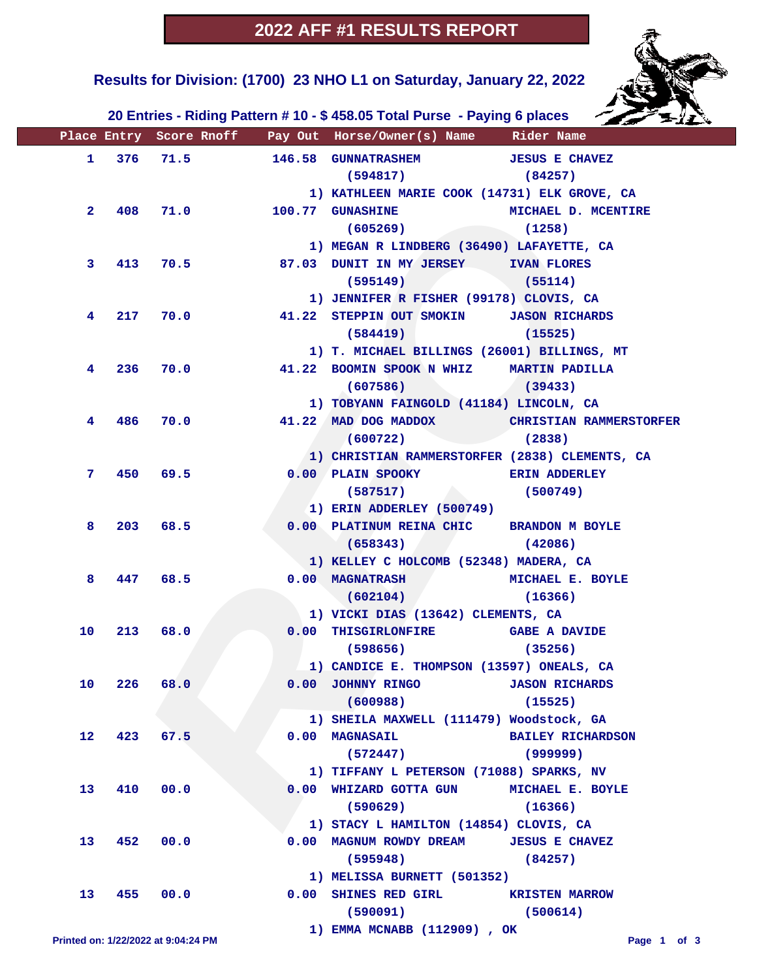

#### **Results for Division: (1700) 23 NHO L1 on Saturday, January 22, 2022**

 **20 Entries - Riding Pattern # 10 - \$ 458.05 Total Purse - Paying 6 places**

|                   |             |                                     |          | Place Entry Score Rnoff __ Pay Out Horse/Owner(s) Name                        Rider Name |                          |
|-------------------|-------------|-------------------------------------|----------|------------------------------------------------------------------------------------------|--------------------------|
|                   |             | 1 376 71.5                          |          | 146.58 GUNNATRASHEM JESUS E CHAVEZ                                                       |                          |
|                   |             |                                     |          | $(594817)$ (84257)                                                                       |                          |
|                   |             |                                     |          | 1) KATHLEEN MARIE COOK (14731) ELK GROVE, CA                                             |                          |
| 2 <sup>1</sup>    |             |                                     | 408 71.0 | 100.77 GUNASHINE MICHAEL D. MCENTIRE                                                     |                          |
|                   |             |                                     |          | (605269)                                                                                 | (1258)                   |
|                   |             |                                     |          | 1) MEGAN R LINDBERG (36490) LAFAYETTE, CA                                                |                          |
| 3.                |             | 413 70.5                            |          | 87.03 DUNIT IN MY JERSEY IVAN FLORES                                                     |                          |
|                   |             |                                     |          | $(595149)$ (55114)                                                                       |                          |
|                   |             |                                     |          | 1) JENNIFER R FISHER (99178) CLOVIS, CA                                                  |                          |
| 4                 |             |                                     | 217 70.0 | 41.22 STEPPIN OUT SMOKIN JASON RICHARDS                                                  |                          |
|                   |             |                                     |          | (584419)                                                                                 | (15525)                  |
|                   |             |                                     |          | 1) T. MICHAEL BILLINGS (26001) BILLINGS, MT                                              |                          |
| 4                 |             | 236 70.0                            |          | 41.22 BOOMIN SPOOK N WHIZ MARTIN PADILLA                                                 |                          |
|                   |             |                                     |          | $(607586)$ (39433)                                                                       |                          |
|                   |             |                                     |          | 1) TOBYANN FAINGOLD (41184) LINCOLN, CA                                                  |                          |
| 4                 |             |                                     | 486 70.0 | 41.22 MAD DOG MADDOX CHRISTIAN RAMMERSTORFER                                             |                          |
|                   |             |                                     |          | $(600722)$ (2838)                                                                        |                          |
|                   |             |                                     |          | 1) CHRISTIAN RAMMERSTORFER (2838) CLEMENTS, CA                                           |                          |
| 7.                |             | 450 69.5                            |          | 0.00 PLAIN SPOOKY                                                                        | <b>ERIN ADDERLEY</b>     |
|                   |             |                                     |          | (587517)                                                                                 | (500749)                 |
|                   |             |                                     |          | 1) ERIN ADDERLEY (500749)                                                                |                          |
| 8                 |             | 203 68.5                            |          | 0.00 PLATINUM REINA CHIC BRANDON M BOYLE                                                 |                          |
|                   |             |                                     |          | (658343)                                                                                 | (42086)                  |
|                   |             |                                     |          | 1) KELLEY C HOLCOMB (52348) MADERA, CA                                                   |                          |
| 8                 |             | 447 68.5                            |          | 0.00 MAGNATRASH MICHAEL E. BOYLE                                                         |                          |
|                   |             |                                     |          | (602104)                                                                                 | (16366)                  |
|                   |             |                                     |          | 1) VICKI DIAS (13642) CLEMENTS, CA                                                       |                          |
| 10                |             | 213 68.0                            |          | 0.00 THISGIRLONFIRE GABE A DAVIDE                                                        |                          |
|                   |             |                                     |          | $(598656)$ (35256)                                                                       |                          |
|                   |             |                                     |          | 1) CANDICE E. THOMPSON (13597) ONEALS, CA                                                |                          |
|                   | 10 226 68.0 |                                     |          | 0.00 JOHNNY RINGO JASON RICHARDS                                                         |                          |
|                   |             |                                     |          | (600988)                                                                                 | (15525)                  |
|                   |             |                                     |          | 1) SHEILA MAXWELL (111479) Woodstock, GA                                                 |                          |
| $12 \overline{ }$ |             | 423 67.5                            |          | $0.00$ MAGNASAIL                                                                         | <b>BAILEY RICHARDSON</b> |
|                   |             |                                     |          | (572447)                                                                                 | (999999)                 |
|                   |             |                                     |          | 1) TIFFANY L PETERSON (71088) SPARKS, NV                                                 |                          |
| 13                | 410         | 00.0                                |          | 0.00 WHIZARD GOTTA GUN MICHAEL E. BOYLE                                                  |                          |
|                   |             |                                     |          | $(590629)$ (16366)                                                                       |                          |
|                   |             |                                     |          | 1) STACY L HAMILTON (14854) CLOVIS, CA                                                   |                          |
| 13                | 452         | 00.0                                |          | 0.00 MAGNUM ROWDY DREAM JESUS E CHAVEZ                                                   |                          |
|                   |             |                                     |          | $(595948)$ (84257)                                                                       |                          |
|                   |             |                                     |          | 1) MELISSA BURNETT (501352)                                                              |                          |
| 13                |             | 455 00.0                            |          | 0.00 SHINES RED GIRL KRISTEN MARROW                                                      |                          |
|                   |             |                                     |          | $(590091)$ (500614)                                                                      |                          |
|                   |             | Printed on: 1/22/2022 at 9:04:24 PM |          | 1) EMMA MCNABB (112909), OK                                                              | Page 1 of 3              |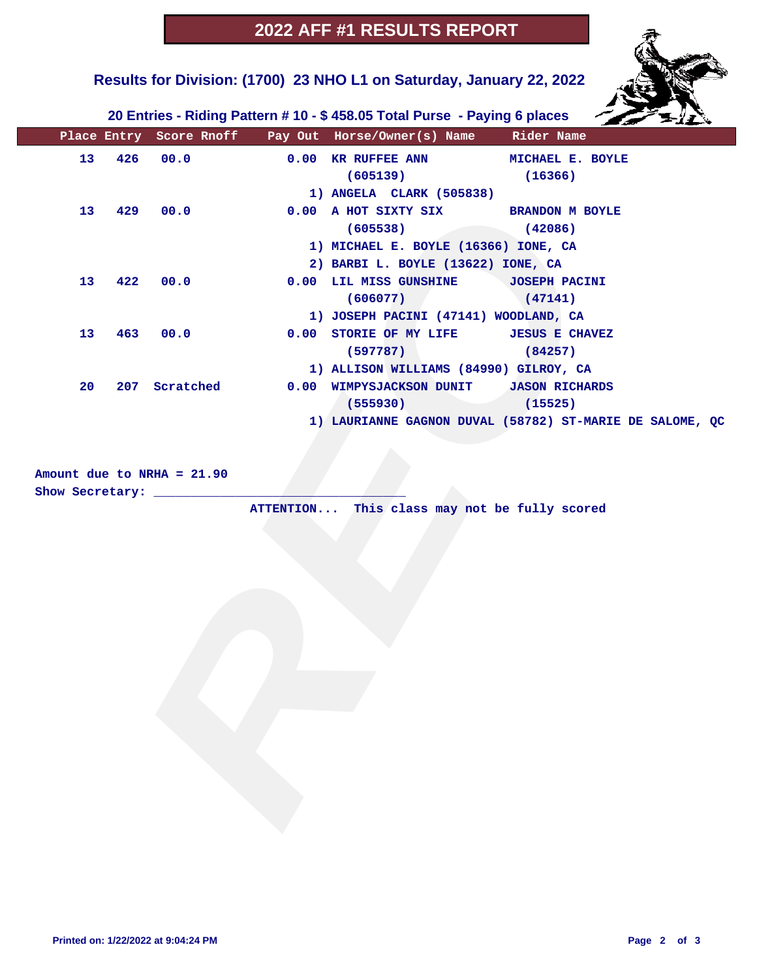# **Results for Division: (1700) 23 NHO L1 on Saturday, January 22, 2022**



 **20 Entries - Riding Pattern # 10 - \$ 458.05 Total Purse - Paying 6 places**

|                 |     |                              | Place Entry Score Rnoff Pay Out Horse/Owner(s) Name Rider Name |                                                          |
|-----------------|-----|------------------------------|----------------------------------------------------------------|----------------------------------------------------------|
| 13 <sub>1</sub> | 426 | 00.0                         | 0.00 KR RUFFEE ANN MICHAEL E. BOYLE                            |                                                          |
|                 |     |                              | (605139)                                                       | (16366)                                                  |
|                 |     |                              | 1) ANGELA CLARK (505838)                                       |                                                          |
| 13 <sub>1</sub> | 429 | 00.0                         | 0.00 A HOT SIXTY SIX BRANDON M BOYLE                           |                                                          |
|                 |     |                              | (605538)                                                       | (42086)                                                  |
|                 |     |                              | 1) MICHAEL E. BOYLE (16366) IONE, CA                           |                                                          |
|                 |     |                              | 2) BARBI L. BOYLE (13622) IONE, CA                             |                                                          |
| 13              | 422 | 00.0                         | 0.00 LIL MISS GUNSHINE JOSEPH PACINI                           |                                                          |
|                 |     |                              | $(606077)$ (47141)                                             |                                                          |
|                 |     |                              | 1) JOSEPH PACINI (47141) WOODLAND, CA                          |                                                          |
| 13              | 463 | 00.0                         | 0.00 STORIE OF MY LIFE JESUS E CHAVEZ                          |                                                          |
|                 |     |                              | $(597787)$ (84257)                                             |                                                          |
|                 |     |                              | 1) ALLISON WILLIAMS (84990) GILROY, CA                         |                                                          |
| 20              |     | 207 Scratched                | 0.00 WIMPYSJACKSON DUNIT JASON RICHARDS                        |                                                          |
|                 |     |                              | $(555930)$ (15525)                                             |                                                          |
|                 |     |                              |                                                                | 1) LAURIANNE GAGNON DUVAL (58782) ST-MARIE DE SALOME, QC |
|                 |     |                              |                                                                |                                                          |
|                 |     |                              |                                                                |                                                          |
|                 |     | Amount due to NRHA = $21.90$ |                                                                |                                                          |
|                 |     | Show Secretary: ___________  |                                                                |                                                          |
|                 |     |                              | ATTENTION This class may not be fully scored                   |                                                          |
|                 |     |                              |                                                                |                                                          |
|                 |     |                              |                                                                |                                                          |
|                 |     |                              |                                                                |                                                          |
|                 |     |                              |                                                                |                                                          |
|                 |     |                              |                                                                |                                                          |
|                 |     |                              |                                                                |                                                          |
|                 |     |                              |                                                                |                                                          |
|                 |     |                              |                                                                |                                                          |
|                 |     |                              |                                                                |                                                          |
|                 |     |                              |                                                                |                                                          |
|                 |     |                              |                                                                |                                                          |
|                 |     |                              |                                                                |                                                          |
|                 |     |                              |                                                                |                                                          |
|                 |     |                              |                                                                |                                                          |
|                 |     |                              |                                                                |                                                          |
|                 |     |                              |                                                                |                                                          |
|                 |     |                              |                                                                |                                                          |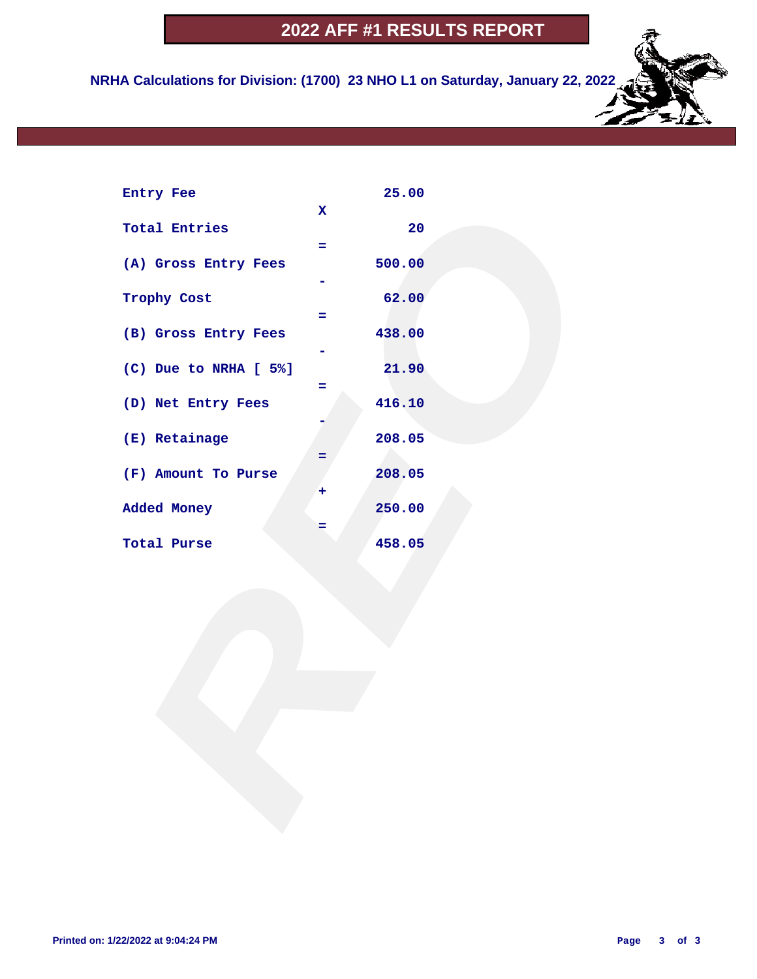**NRHA Calculations for Division: (1700) 23 NHO L1 on Saturday, January 22, 2022**

| Entry Fee             |                    | 25.00  |  |  |
|-----------------------|--------------------|--------|--|--|
| <b>Total Entries</b>  | $\mathbf{x}$<br>÷. | 20     |  |  |
| (A) Gross Entry Fees  |                    | 500.00 |  |  |
| Trophy Cost           | $=$                | 62.00  |  |  |
| (B) Gross Entry Fees  |                    | 438.00 |  |  |
| (C) Due to NRHA [ 5%] | =                  | 21.90  |  |  |
| (D) Net Entry Fees    |                    | 416.10 |  |  |
| (E) Retainage         | =                  | 208.05 |  |  |
| (F) Amount To Purse   | ٠                  | 208.05 |  |  |
| Added Money           | =                  | 250.00 |  |  |
| Total Purse           |                    | 458.05 |  |  |
|                       |                    |        |  |  |
|                       |                    |        |  |  |
|                       |                    |        |  |  |
|                       |                    |        |  |  |
|                       |                    |        |  |  |
|                       |                    |        |  |  |
|                       |                    |        |  |  |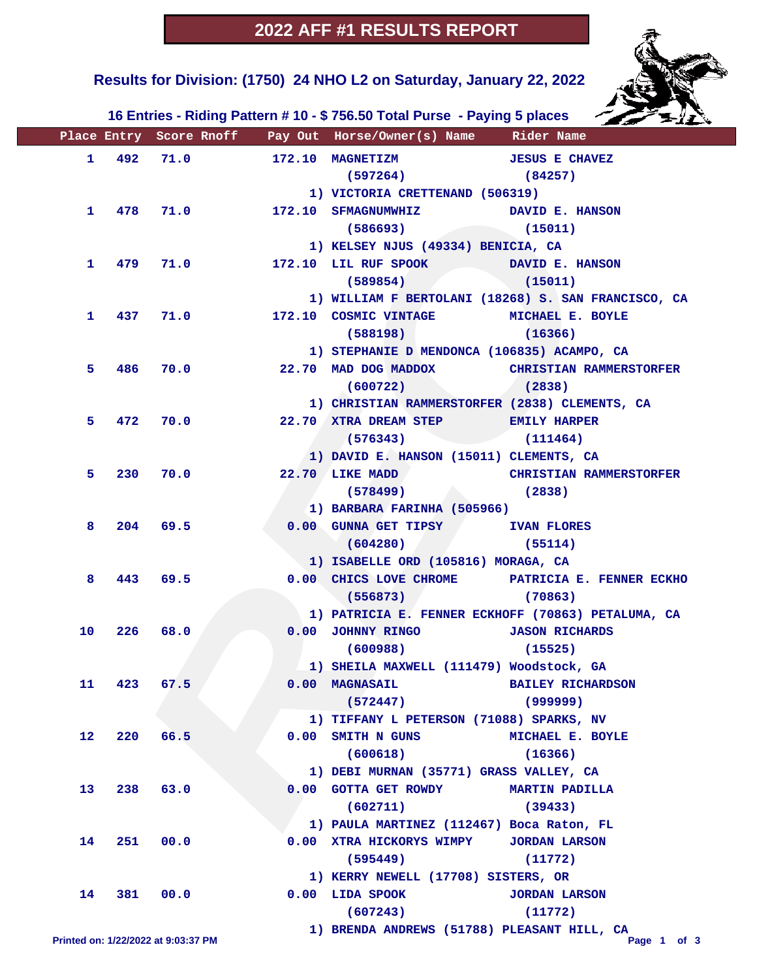**Results for Division: (1750) 24 NHO L2 on Saturday, January 22, 2022** 



 **16 Entries - Riding Pattern # 10 - \$ 756.50 Total Purse - Paying 5 places**

|              | Place Entry Score Rnoff             |            | Pay Out Horse/Owner(s) Name Rider Name             |                                                     |
|--------------|-------------------------------------|------------|----------------------------------------------------|-----------------------------------------------------|
|              | 1 492 71.0                          |            | 172.10 MAGNETIZM                                   | <b>JESUS E CHAVEZ</b>                               |
|              |                                     |            | (597264)                                           | (84257)                                             |
|              |                                     |            | 1) VICTORIA CRETTENAND (506319)                    |                                                     |
| $\mathbf{1}$ |                                     | 478 71.0   | 172.10 SFMAGNUMWHIZ DAVID E. HANSON                |                                                     |
|              |                                     |            | (586693)                                           | (15011)                                             |
|              |                                     |            | 1) KELSEY NJUS (49334) BENICIA, CA                 |                                                     |
| 1.           |                                     | 479 71.0   | 172.10 LIL RUF SPOOK                               | DAVID E. HANSON                                     |
|              |                                     |            | (589854)                                           | (15011)                                             |
|              |                                     |            |                                                    | 1) WILLIAM F BERTOLANI (18268) S. SAN FRANCISCO, CA |
| 1.           |                                     | 437 71.0   | 172.10 COSMIC VINTAGE MICHAEL E. BOYLE             |                                                     |
|              |                                     |            | (588198)                                           | (16366)                                             |
|              |                                     |            | 1) STEPHANIE D MENDONCA (106835) ACAMPO, CA        |                                                     |
| 5.           | 486                                 | 70.0       | 22.70 MAD DOG MADDOX                               | <b>CHRISTIAN RAMMERSTORFER</b>                      |
|              |                                     |            | (600722)                                           | (2838)                                              |
|              |                                     |            | 1) CHRISTIAN RAMMERSTORFER (2838) CLEMENTS, CA     |                                                     |
| 5.           | 472                                 | 70.0       | 22.70 XTRA DREAM STEP EMILY HARPER                 |                                                     |
|              |                                     |            | $(576343)$ $(111464)$                              |                                                     |
|              |                                     |            | 1) DAVID E. HANSON (15011) CLEMENTS, CA            |                                                     |
| 5.           | 230                                 | 70.0       | 22.70 LIKE MADD                                    | <b>CHRISTIAN RAMMERSTORFER</b>                      |
|              |                                     |            | (578499)                                           | (2838)                                              |
|              |                                     |            | 1) BARBARA FARINHA (505966)                        |                                                     |
| 8            |                                     | $204$ 69.5 | 0.00 GUNNA GET TIPSY IVAN FLORES                   |                                                     |
|              |                                     |            | (604280)                                           | (55114)                                             |
|              |                                     |            | 1) ISABELLE ORD (105816) MORAGA, CA                |                                                     |
| 8            | 443                                 | 69.5       |                                                    | 0.00 CHICS LOVE CHROME PATRICIA E. FENNER ECKHO     |
|              |                                     |            | (556873)                                           | (70863)                                             |
|              |                                     |            | 1) PATRICIA E. FENNER ECKHOFF (70863) PETALUMA, CA |                                                     |
| 10           | 226                                 | 68.0       | 0.00 JOHNNY RINGO   JASON RICHARDS                 |                                                     |
|              |                                     |            | (600988)                                           | (15525)                                             |
|              |                                     |            | 1) SHEILA MAXWELL (111479) Woodstock, GA           |                                                     |
| 11           |                                     | 423 67.5   | 0.00 MAGNASAIL BAILEY RICHARDSON                   |                                                     |
|              |                                     |            | (572447)                                           | (999999)                                            |
|              |                                     |            | 1) TIFFANY L PETERSON (71088) SPARKS, NV           |                                                     |
| 12           | 220                                 | 66.5       | 0.00 SMITH N GUNS                                  | MICHAEL E. BOYLE                                    |
|              |                                     |            | (600618)                                           | (16366)                                             |
|              |                                     |            | 1) DEBI MURNAN (35771) GRASS VALLEY, CA            |                                                     |
| 13           | 238                                 | 63.0       | 0.00 GOTTA GET ROWDY                               | <b>MARTIN PADILLA</b>                               |
|              |                                     |            | (602711)                                           | (39433)                                             |
|              |                                     |            | 1) PAULA MARTINEZ (112467) Boca Raton, FL          |                                                     |
| 14           | 251                                 | 00.0       | 0.00 XTRA HICKORYS WIMPY                           | <b>JORDAN LARSON</b>                                |
|              |                                     |            | (595449)                                           | (11772)                                             |
|              |                                     |            | 1) KERRY NEWELL (17708) SISTERS, OR                |                                                     |
| 14           | 381                                 | 00.0       | $0.00$ LIDA SPOOK                                  | <b>JORDAN LARSON</b>                                |
|              |                                     |            | (607243)                                           | (11772)                                             |
|              | Printed on: 1/22/2022 at 9:03:37 PM |            | 1) BRENDA ANDREWS (51788) PLEASANT HILL, CA        | Page 1 of 3                                         |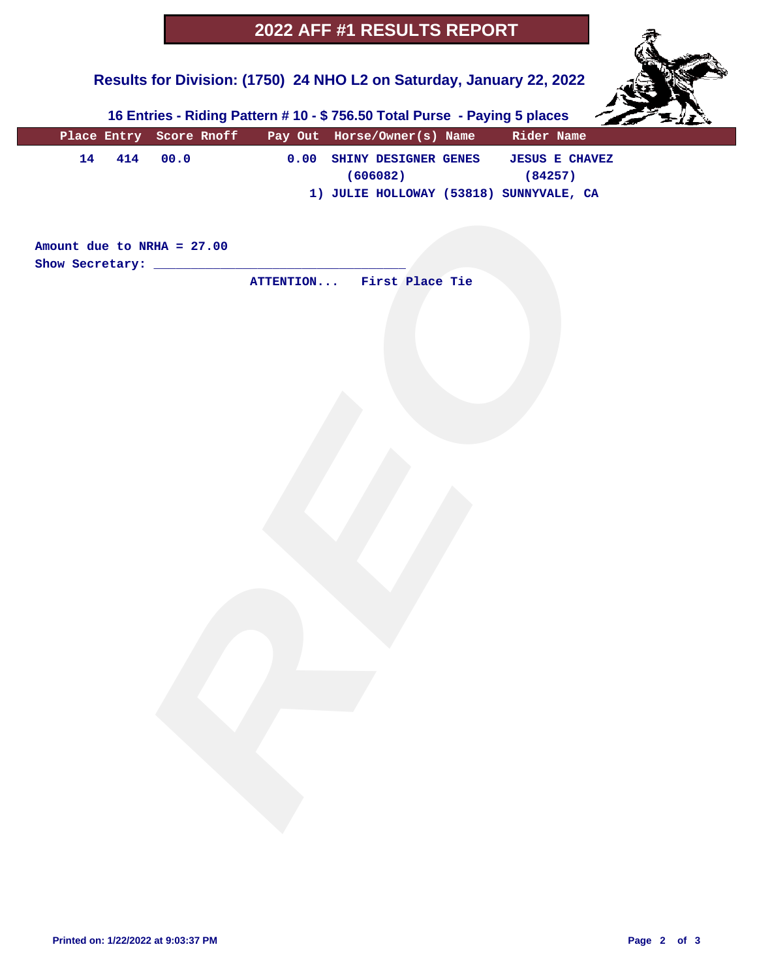# **Results for Division: (1750) 24 NHO L2 on Saturday, January 22, 2022**



 **16 Entries - Riding Pattern # 10 - \$ 756.50 Total Purse - Paying 5 places**

|    |                              | Place Entry Score Rnoff Pay Out Horse/Owner(s) Name Rider Name |                                                     |  |
|----|------------------------------|----------------------------------------------------------------|-----------------------------------------------------|--|
| 14 | 414 00.0                     | (606082)                                                       | 0.00 SHINY DESIGNER GENES JESUS E CHAVEZ<br>(84257) |  |
|    |                              | 1) JULIE HOLLOWAY (53818) SUNNYVALE, CA                        |                                                     |  |
|    |                              |                                                                |                                                     |  |
|    | Amount due to NRHA = $27.00$ |                                                                |                                                     |  |
|    |                              | ATTENTION First Place Tie                                      |                                                     |  |
|    |                              |                                                                |                                                     |  |
|    |                              |                                                                |                                                     |  |
|    |                              |                                                                |                                                     |  |
|    |                              |                                                                |                                                     |  |
|    |                              |                                                                |                                                     |  |
|    |                              |                                                                |                                                     |  |
|    |                              |                                                                |                                                     |  |
|    |                              |                                                                |                                                     |  |
|    |                              |                                                                |                                                     |  |
|    |                              |                                                                |                                                     |  |
|    |                              |                                                                |                                                     |  |
|    |                              |                                                                |                                                     |  |
|    |                              |                                                                |                                                     |  |
|    |                              |                                                                |                                                     |  |
|    |                              |                                                                |                                                     |  |
|    |                              |                                                                |                                                     |  |
|    |                              |                                                                |                                                     |  |
|    |                              |                                                                |                                                     |  |
|    |                              |                                                                |                                                     |  |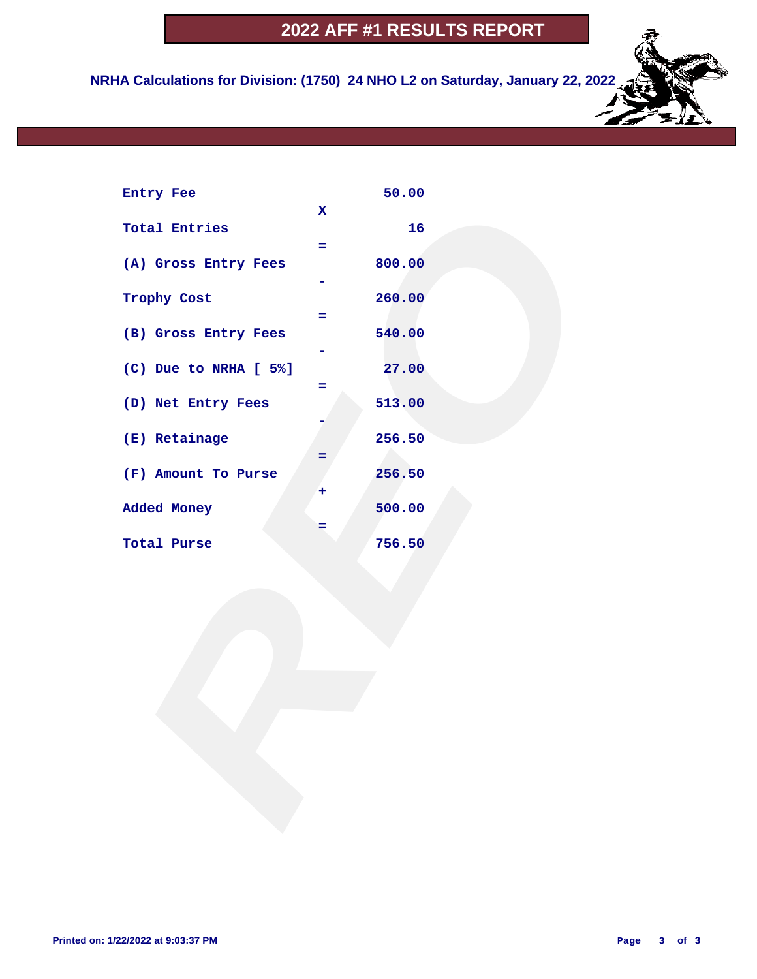**NRHA Calculations for Division: (1750) 24 NHO L2 on Saturday, January 22, 2022**

| Entry Fee             |                   | 50.00  |  |  |
|-----------------------|-------------------|--------|--|--|
| <b>Total Entries</b>  | $\mathbf{x}$<br>÷ | 16     |  |  |
| (A) Gross Entry Fees  |                   | 800.00 |  |  |
| Trophy Cost           | Ξ.                | 260.00 |  |  |
| (B) Gross Entry Fees  |                   | 540.00 |  |  |
| (C) Due to NRHA [ 5%] | =                 | 27.00  |  |  |
| (D) Net Entry Fees    |                   | 513.00 |  |  |
| (E) Retainage         | =                 | 256.50 |  |  |
| (F) Amount To Purse   | ٠                 | 256.50 |  |  |
| Added Money           | =                 | 500.00 |  |  |
| Total Purse           |                   | 756.50 |  |  |
|                       |                   |        |  |  |
|                       |                   |        |  |  |
|                       |                   |        |  |  |
|                       |                   |        |  |  |
|                       |                   |        |  |  |
|                       |                   |        |  |  |
|                       |                   |        |  |  |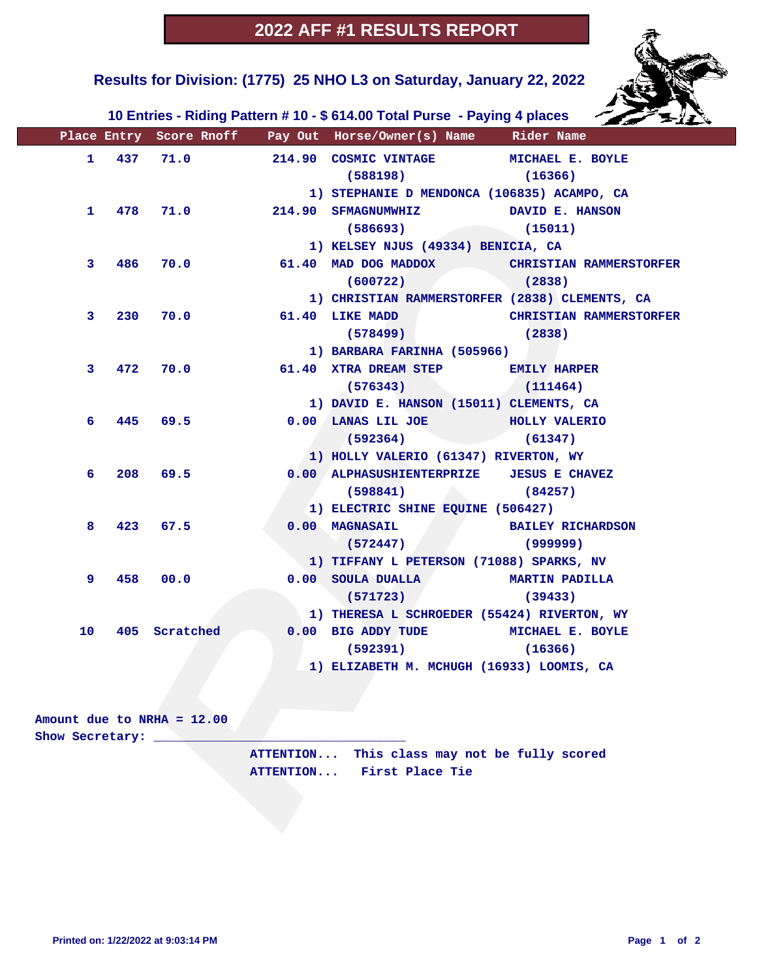

 **Results for Division: (1775) 25 NHO L3 on Saturday, January 22, 2022** 

 **10 Entries - Riding Pattern # 10 - \$ 614.00 Total Purse - Paying 4 places**

|                         |                     |                              | Place Entry Score Rnoff Pay Out Horse/Owner(s) Name Rider Name |                                |
|-------------------------|---------------------|------------------------------|----------------------------------------------------------------|--------------------------------|
| 1.                      | 437                 | 71.0                         | 214.90 COSMIC VINTAGE MICHAEL E. BOYLE                         |                                |
|                         |                     |                              | (588198)                                                       | (16366)                        |
|                         |                     |                              | 1) STEPHANIE D MENDONCA (106835) ACAMPO, CA                    |                                |
|                         | $\mathbf{1}$<br>478 | 71.0                         | 214.90 SFMAGNUMWHIZ                                            | DAVID E. HANSON                |
|                         |                     |                              | (586693)                                                       | (15011)                        |
|                         |                     |                              | 1) KELSEY NJUS (49334) BENICIA, CA                             |                                |
| 3                       | 486                 | 70.0                         | 61.40 MAD DOG MADDOX                                           | <b>CHRISTIAN RAMMERSTORFER</b> |
|                         |                     |                              | (600722)                                                       | (2838)                         |
|                         |                     |                              | 1) CHRISTIAN RAMMERSTORFER (2838) CLEMENTS, CA                 |                                |
| 3                       | 230                 | 70.0                         | 61.40 LIKE MADD                                                | <b>CHRISTIAN RAMMERSTORFER</b> |
|                         |                     |                              | (578499)                                                       | (2838)                         |
|                         |                     |                              | 1) BARBARA FARINHA (505966)                                    |                                |
| 3                       | 472                 | 70.0                         | 61.40 XTRA DREAM STEP EMILY HARPER                             |                                |
|                         |                     |                              | (576343)                                                       | (111464)                       |
|                         |                     |                              | 1) DAVID E. HANSON (15011) CLEMENTS, CA                        |                                |
| 6                       | 445                 | 69.5                         | 0.00 LANAS LIL JOE                                             | <b>HOLLY VALERIO</b>           |
|                         |                     |                              | (592364)                                                       | (61347)                        |
|                         |                     |                              | 1) HOLLY VALERIO (61347) RIVERTON, WY                          |                                |
| 6                       | 208                 | 69.5                         | 0.00 ALPHASUSHIENTERPRIZE JESUS E CHAVEZ                       |                                |
|                         |                     |                              | (598841)                                                       | (84257)                        |
|                         |                     |                              | 1) ELECTRIC SHINE EQUINE (506427)                              |                                |
| 8                       | 423                 | 67.5                         | 0.00 MAGNASAIL                                                 | <b>BAILEY RICHARDSON</b>       |
|                         |                     |                              | (572447)                                                       | (999999)                       |
|                         |                     |                              | 1) TIFFANY L PETERSON (71088) SPARKS, NV                       |                                |
| 9                       | 458                 | 00.0                         | 0.00 SOULA DUALLA                                              | <b>MARTIN PADILLA</b>          |
|                         |                     |                              | (571723)                                                       | (39433)                        |
|                         |                     |                              | 1) THERESA L SCHROEDER (55424) RIVERTON, WY                    |                                |
| 10                      |                     | 405 Scratched                | 0.00 BIG ADDY TUDE MICHAEL E. BOYLE                            |                                |
|                         |                     |                              | (592391)                                                       | (16366)                        |
|                         |                     |                              | 1) ELIZABETH M. MCHUGH (16933) LOOMIS, CA                      |                                |
|                         |                     |                              |                                                                |                                |
|                         |                     |                              |                                                                |                                |
|                         |                     | Amount due to NRHA = $12.00$ |                                                                |                                |
| Show Secretary: _______ |                     |                              |                                                                |                                |
|                         |                     |                              | ATTENTION This class may not be fully scored                   |                                |
|                         |                     |                              | ATTENTION First Place Tie                                      |                                |
|                         |                     |                              |                                                                |                                |
|                         |                     |                              |                                                                |                                |

| Amount due to NRHA = $12.00$ |                                              |
|------------------------------|----------------------------------------------|
| Show Secretary:              |                                              |
|                              | ATTENTION This class may not be fully scored |
|                              | ATTENTION First Place Tie                    |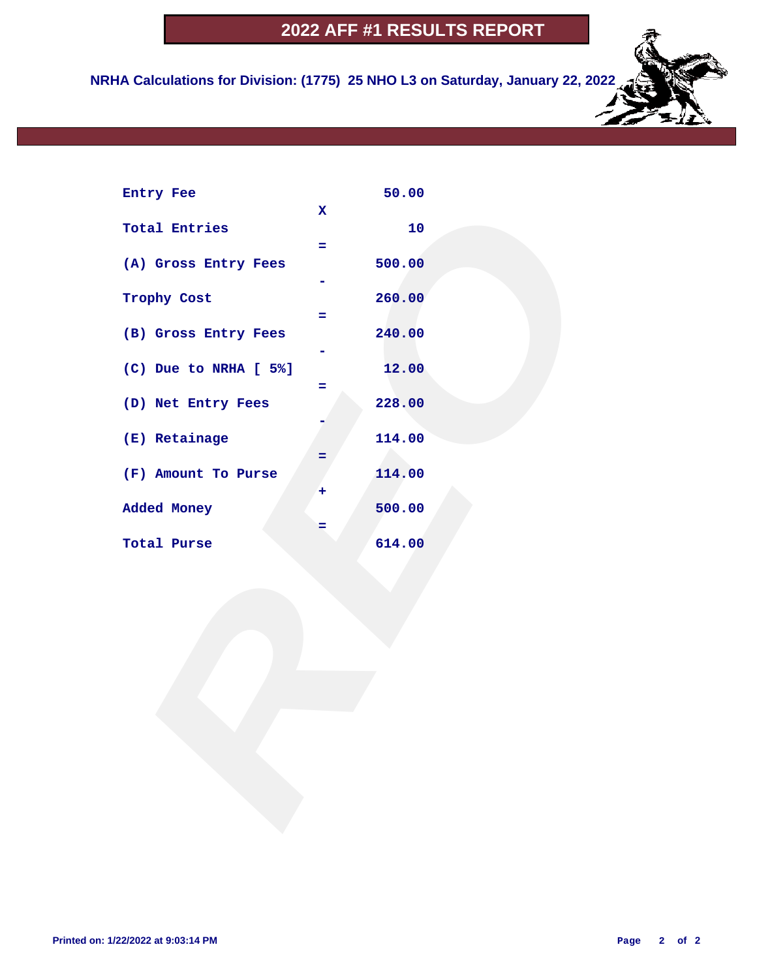**NRHA Calculations for Division: (1775) 25 NHO L3 on Saturday, January 22, 2022**

| Entry Fee             |                   | 50.00  |  |  |
|-----------------------|-------------------|--------|--|--|
| <b>Total Entries</b>  | $\mathbf{x}$<br>÷ | 10     |  |  |
| (A) Gross Entry Fees  |                   | 500.00 |  |  |
| Trophy Cost           | Ξ.                | 260.00 |  |  |
| (B) Gross Entry Fees  |                   | 240.00 |  |  |
| (C) Due to NRHA [ 5%] | =                 | 12.00  |  |  |
| (D) Net Entry Fees    |                   | 228.00 |  |  |
| (E) Retainage         | =                 | 114.00 |  |  |
| (F) Amount To Purse   | ٠                 | 114.00 |  |  |
| Added Money           | =                 | 500.00 |  |  |
| Total Purse           |                   | 614.00 |  |  |
|                       |                   |        |  |  |
|                       |                   |        |  |  |
|                       |                   |        |  |  |
|                       |                   |        |  |  |
|                       |                   |        |  |  |
|                       |                   |        |  |  |
|                       |                   |        |  |  |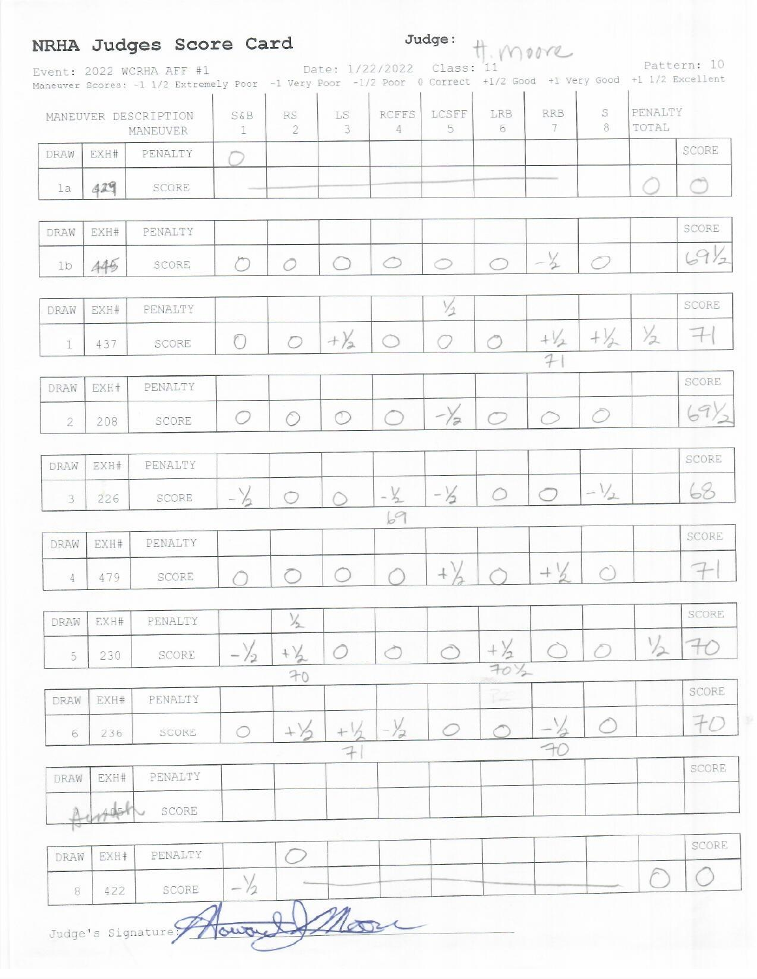# NRHA Judges Score Card

Judge: H. MOOR

Event: 2022 WCRHA AFF #1 Date: 1/22/2022 Class: 11 Pattern: 10 +1 1/2 Excellent

|                |      | MANEUVER DESCRIPTION<br>MANEUVER | S&B<br>$1\,$   | $\mathbb{R}\mathcal{S}$<br>$\overline{2}$ | $\mathbb{L}\mathbb{S}$<br>3 | <b>RCFFS</b><br>$\frac{4}{3}$ | LCSFF<br>$\overline{5}$ | LRB<br>6        | <b>RRB</b><br>7 | S<br>$\,$ 8 $\,$ | PENALTY<br>TOTAL |                     |
|----------------|------|----------------------------------|----------------|-------------------------------------------|-----------------------------|-------------------------------|-------------------------|-----------------|-----------------|------------------|------------------|---------------------|
| DRAW           | EXH# | PENALTY                          |                |                                           |                             |                               |                         |                 |                 |                  |                  | SCORE               |
| 1a             | 429  | SCORE                            |                |                                           |                             |                               |                         |                 |                 |                  |                  |                     |
| DRAW           | EXH# | PENALTY                          |                |                                           |                             |                               |                         |                 |                 |                  |                  | SCORE               |
| 1 <sub>b</sub> | 445  | SCORE                            | O              | 0                                         | ◯                           | $\circ$                       | $\circ$                 | $\bigcirc$      | $-\frac{1}{2}$  | $\bigcirc$       |                  | 69/2                |
| DRAW           | EXH# | PENALTY                          |                |                                           |                             |                               | $\frac{1}{2}$           |                 |                 |                  |                  | SCORE               |
| 1              | 437  | SCORE                            | $\bigcap$      | $\circ$                                   | $+ \frac{1}{2}$             | $\bigcirc$                    | 0                       | $\bigcirc$      | $+\frac{1}{2}$  | $+\frac{1}{2}$   | $\frac{1}{2}$    | $\mp$               |
| DRAW           | EXH# | PENALTY                          |                |                                           |                             |                               |                         |                 | 7               |                  |                  | SCORE               |
| $\overline{2}$ | 208  | SCORE                            | O              | $\circ$                                   | $\circ$                     | T                             | $-\frac{1}{2}$          | ◯               |                 | Ò                |                  | $\langle 9 \rangle$ |
| DRAW           | EXH# | PENALTY                          |                |                                           |                             |                               |                         |                 |                 |                  |                  | SCORE               |
| 3              | 226  | SCORE                            | $-\frac{1}{2}$ | $\bigcirc$                                | $\hat{C}$                   | $-1/2$                        | $-\frac{1}{2}$          | $\bigcirc$      | Ō               | $-1/2$           |                  | 68                  |
|                |      |                                  |                |                                           |                             | 69                            |                         |                 |                 |                  |                  |                     |
| DRAW           | EXH# | PENALTY                          |                |                                           |                             |                               |                         |                 |                 |                  |                  | SCORE               |
| 4              | 479  | SCORE                            | ∩              | Ō                                         | $\bigcirc$                  |                               | $+\ )$                  |                 | $+$ %           | C,               |                  | $7-$                |
| DRAW           | EXH# | PENALTY                          |                | $\frac{1}{2}$                             |                             |                               |                         |                 |                 |                  |                  | SCORE               |
| 5              | 230  | SCORE                            | $-\frac{1}{2}$ | $+ \frac{1}{2}$                           |                             |                               |                         |                 |                 |                  |                  | $\mp c$             |
|                |      |                                  |                | 70                                        |                             |                               |                         | $70\frac{1}{2}$ |                 |                  |                  | SCORE               |
| DRAW           | EXH# | PENALTY                          |                |                                           |                             |                               |                         | L.              |                 |                  |                  |                     |
| 6              | 236  | SCORE                            | O              | $+1/2$                                    | $+$                         | $-\frac{1}{2}$                | O                       |                 | FC              |                  |                  | 70                  |
| DRAW           | EXH# | PENALTY                          |                |                                           | $\rightarrow$               |                               |                         |                 |                 |                  |                  | SCORE               |
|                |      | SCORE                            |                |                                           |                             |                               |                         |                 |                 |                  |                  |                     |
|                |      | PENALTY                          |                |                                           |                             |                               |                         |                 |                 |                  |                  | SCORE               |
| DRAW           | EXH# |                                  | $\setminus$    |                                           |                             |                               |                         |                 |                 |                  |                  |                     |

422 SCORE  $^{\rm 8}$  $\n *l*$ Judge's Signature; our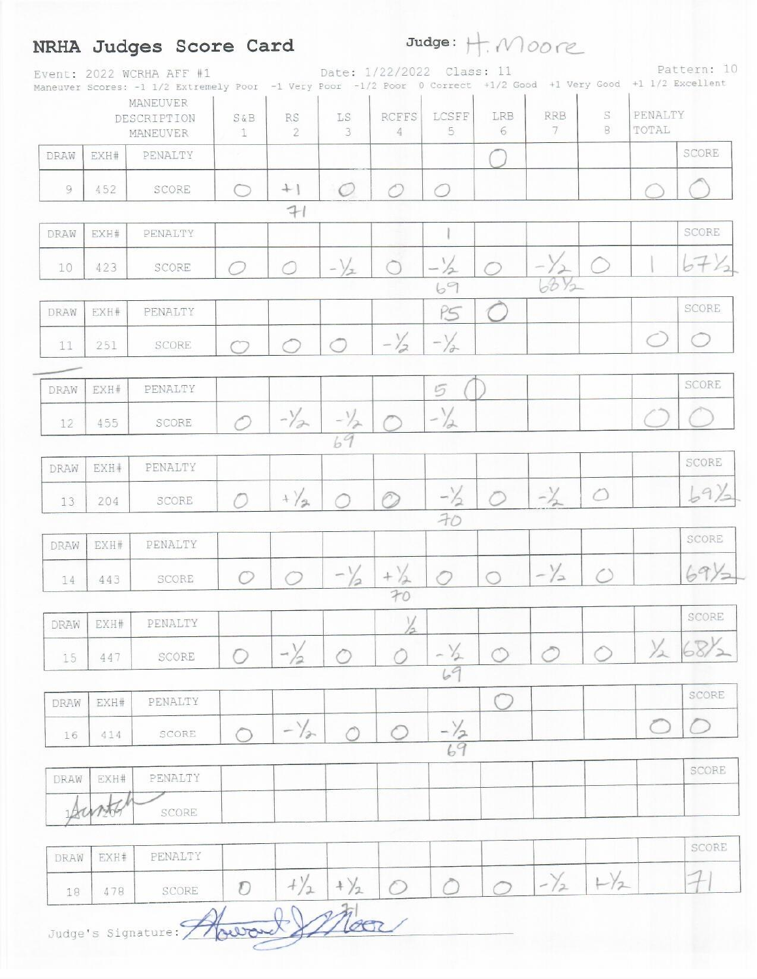# NRHA Judges Score Card

 $Judge: + \frac{1}{2}MOOR$ 

| MANEUVER<br>PENALTY<br>S<br><b>RRB</b><br>LCSFF<br>LRB<br>RCFFS<br>LS.<br>RS<br>DESCRIPTION<br>$S\&B$<br>$^{\circ}$<br>TOTAL<br>5<br>6<br>7<br>3<br>4<br>$\mathbf{2}$<br>$\mathbb{1}$<br>MANEUVER<br>PENALTY<br>DRAW<br>EXH#<br>$+$  <br>$\circ$<br>Ô<br>9<br>452<br><b>SCORE</b><br>$\bigcirc$<br>◠<br>71<br>EXH#<br>PENALTY<br>DRAW<br>$-\frac{1}{2}$<br>$-\sqrt{x}$<br>$\circlearrowright$<br>$\bigcirc$<br>423<br>◠<br>10<br>SCORE<br>O<br>$68\frac{1}{2}$<br>69<br>P5<br>EXH#<br>PENALTY<br>DRAW<br>$-\frac{1}{2}$<br>$-\frac{1}{a}$<br>◠<br>251<br>SCORE<br>◯<br>11<br>⌒<br>PENALTY<br>5<br>EXH#<br>DRAW<br>$-\frac{1}{2}$<br>$-\frac{1}{2}$<br>$-\frac{1}{2}$<br>455<br>SCORE<br>12<br>69<br>PENALTY<br>EXH#<br>DRAW<br>$-\frac{1}{2}$<br>$-\frac{1}{2}$<br>$\circ$<br>$+\frac{1}{2}$<br>$\circ$<br>SCORE<br>13<br>204<br>70<br>PENALTY<br>EXH#<br>DRAW<br>$-\frac{1}{2}$<br>$-\frac{1}{2}$<br>$+\frac{1}{2}$<br>$\bigwedge$<br>$\bigcirc$<br>$\bigcirc$<br>$\circ$<br>SCORE<br>443<br>14<br>70<br>$\frac{1}{2}$<br>DRAW EXH#<br>PENALTY<br>12<br>1/2 68%<br>$-\frac{1}{2}$<br>$- \frac{1}{2}$<br>⊙<br>∩<br>SCORE<br>15<br>447<br>69<br>PENALTY<br>EXH#<br>DRAW<br>$-\sqrt{2}$<br>$-\frac{1}{2}$<br>$\hat{\mathcal{O}}$<br>$\bigcirc$<br>SCORE<br>414<br>16<br>69<br>PENALTY<br>EXH#<br>DRAW<br>SCORE<br>PENALTY<br>EXH#<br>DRAW |  | Svent: 2022 WCRHA AFF #1<br>Maneuver Scores: -1 1/2 Extremely Poor -1 Very Poor -1/2 Poor 0 Correct +1/2 Good +1 Very Good +1 1/2 Excellent |  | Date: 1/22/2022 Class: 11 |           |  |  | rdllein. IV |
|-----------------------------------------------------------------------------------------------------------------------------------------------------------------------------------------------------------------------------------------------------------------------------------------------------------------------------------------------------------------------------------------------------------------------------------------------------------------------------------------------------------------------------------------------------------------------------------------------------------------------------------------------------------------------------------------------------------------------------------------------------------------------------------------------------------------------------------------------------------------------------------------------------------------------------------------------------------------------------------------------------------------------------------------------------------------------------------------------------------------------------------------------------------------------------------------------------------------------------------------------------------------------------------------------------------------------------------------|--|---------------------------------------------------------------------------------------------------------------------------------------------|--|---------------------------|-----------|--|--|-------------|
|                                                                                                                                                                                                                                                                                                                                                                                                                                                                                                                                                                                                                                                                                                                                                                                                                                                                                                                                                                                                                                                                                                                                                                                                                                                                                                                                         |  |                                                                                                                                             |  |                           |           |  |  |             |
|                                                                                                                                                                                                                                                                                                                                                                                                                                                                                                                                                                                                                                                                                                                                                                                                                                                                                                                                                                                                                                                                                                                                                                                                                                                                                                                                         |  |                                                                                                                                             |  |                           |           |  |  | SCORE       |
|                                                                                                                                                                                                                                                                                                                                                                                                                                                                                                                                                                                                                                                                                                                                                                                                                                                                                                                                                                                                                                                                                                                                                                                                                                                                                                                                         |  |                                                                                                                                             |  |                           |           |  |  |             |
|                                                                                                                                                                                                                                                                                                                                                                                                                                                                                                                                                                                                                                                                                                                                                                                                                                                                                                                                                                                                                                                                                                                                                                                                                                                                                                                                         |  |                                                                                                                                             |  |                           |           |  |  |             |
|                                                                                                                                                                                                                                                                                                                                                                                                                                                                                                                                                                                                                                                                                                                                                                                                                                                                                                                                                                                                                                                                                                                                                                                                                                                                                                                                         |  |                                                                                                                                             |  |                           |           |  |  | SCORE       |
|                                                                                                                                                                                                                                                                                                                                                                                                                                                                                                                                                                                                                                                                                                                                                                                                                                                                                                                                                                                                                                                                                                                                                                                                                                                                                                                                         |  |                                                                                                                                             |  |                           |           |  |  |             |
|                                                                                                                                                                                                                                                                                                                                                                                                                                                                                                                                                                                                                                                                                                                                                                                                                                                                                                                                                                                                                                                                                                                                                                                                                                                                                                                                         |  |                                                                                                                                             |  |                           |           |  |  | SCORE       |
|                                                                                                                                                                                                                                                                                                                                                                                                                                                                                                                                                                                                                                                                                                                                                                                                                                                                                                                                                                                                                                                                                                                                                                                                                                                                                                                                         |  |                                                                                                                                             |  |                           |           |  |  | $\bigcirc$  |
|                                                                                                                                                                                                                                                                                                                                                                                                                                                                                                                                                                                                                                                                                                                                                                                                                                                                                                                                                                                                                                                                                                                                                                                                                                                                                                                                         |  |                                                                                                                                             |  |                           |           |  |  |             |
|                                                                                                                                                                                                                                                                                                                                                                                                                                                                                                                                                                                                                                                                                                                                                                                                                                                                                                                                                                                                                                                                                                                                                                                                                                                                                                                                         |  |                                                                                                                                             |  |                           |           |  |  | SCORE       |
|                                                                                                                                                                                                                                                                                                                                                                                                                                                                                                                                                                                                                                                                                                                                                                                                                                                                                                                                                                                                                                                                                                                                                                                                                                                                                                                                         |  |                                                                                                                                             |  |                           |           |  |  |             |
|                                                                                                                                                                                                                                                                                                                                                                                                                                                                                                                                                                                                                                                                                                                                                                                                                                                                                                                                                                                                                                                                                                                                                                                                                                                                                                                                         |  |                                                                                                                                             |  |                           |           |  |  |             |
|                                                                                                                                                                                                                                                                                                                                                                                                                                                                                                                                                                                                                                                                                                                                                                                                                                                                                                                                                                                                                                                                                                                                                                                                                                                                                                                                         |  |                                                                                                                                             |  |                           |           |  |  | SCORE       |
|                                                                                                                                                                                                                                                                                                                                                                                                                                                                                                                                                                                                                                                                                                                                                                                                                                                                                                                                                                                                                                                                                                                                                                                                                                                                                                                                         |  |                                                                                                                                             |  |                           |           |  |  | 69/         |
|                                                                                                                                                                                                                                                                                                                                                                                                                                                                                                                                                                                                                                                                                                                                                                                                                                                                                                                                                                                                                                                                                                                                                                                                                                                                                                                                         |  |                                                                                                                                             |  |                           |           |  |  | SCORE       |
|                                                                                                                                                                                                                                                                                                                                                                                                                                                                                                                                                                                                                                                                                                                                                                                                                                                                                                                                                                                                                                                                                                                                                                                                                                                                                                                                         |  |                                                                                                                                             |  |                           |           |  |  |             |
|                                                                                                                                                                                                                                                                                                                                                                                                                                                                                                                                                                                                                                                                                                                                                                                                                                                                                                                                                                                                                                                                                                                                                                                                                                                                                                                                         |  |                                                                                                                                             |  |                           |           |  |  | 69)         |
|                                                                                                                                                                                                                                                                                                                                                                                                                                                                                                                                                                                                                                                                                                                                                                                                                                                                                                                                                                                                                                                                                                                                                                                                                                                                                                                                         |  |                                                                                                                                             |  |                           |           |  |  | SCORE       |
|                                                                                                                                                                                                                                                                                                                                                                                                                                                                                                                                                                                                                                                                                                                                                                                                                                                                                                                                                                                                                                                                                                                                                                                                                                                                                                                                         |  |                                                                                                                                             |  |                           |           |  |  |             |
|                                                                                                                                                                                                                                                                                                                                                                                                                                                                                                                                                                                                                                                                                                                                                                                                                                                                                                                                                                                                                                                                                                                                                                                                                                                                                                                                         |  |                                                                                                                                             |  |                           |           |  |  |             |
|                                                                                                                                                                                                                                                                                                                                                                                                                                                                                                                                                                                                                                                                                                                                                                                                                                                                                                                                                                                                                                                                                                                                                                                                                                                                                                                                         |  |                                                                                                                                             |  |                           |           |  |  | SCORE       |
|                                                                                                                                                                                                                                                                                                                                                                                                                                                                                                                                                                                                                                                                                                                                                                                                                                                                                                                                                                                                                                                                                                                                                                                                                                                                                                                                         |  |                                                                                                                                             |  |                           |           |  |  | re s        |
|                                                                                                                                                                                                                                                                                                                                                                                                                                                                                                                                                                                                                                                                                                                                                                                                                                                                                                                                                                                                                                                                                                                                                                                                                                                                                                                                         |  |                                                                                                                                             |  |                           |           |  |  | SCORE       |
|                                                                                                                                                                                                                                                                                                                                                                                                                                                                                                                                                                                                                                                                                                                                                                                                                                                                                                                                                                                                                                                                                                                                                                                                                                                                                                                                         |  |                                                                                                                                             |  |                           |           |  |  |             |
|                                                                                                                                                                                                                                                                                                                                                                                                                                                                                                                                                                                                                                                                                                                                                                                                                                                                                                                                                                                                                                                                                                                                                                                                                                                                                                                                         |  |                                                                                                                                             |  |                           |           |  |  | SCORE       |
| $-\frac{1}{2}$ $+\frac{1}{2}$<br>$+\frac{1}{2}$ + $\frac{1}{2}$<br>$\bigcap$<br>$\circ$<br>Ð<br>SCORE<br>478<br>18                                                                                                                                                                                                                                                                                                                                                                                                                                                                                                                                                                                                                                                                                                                                                                                                                                                                                                                                                                                                                                                                                                                                                                                                                      |  |                                                                                                                                             |  |                           | $\bigcap$ |  |  |             |

Judge's Signature: Awward Moore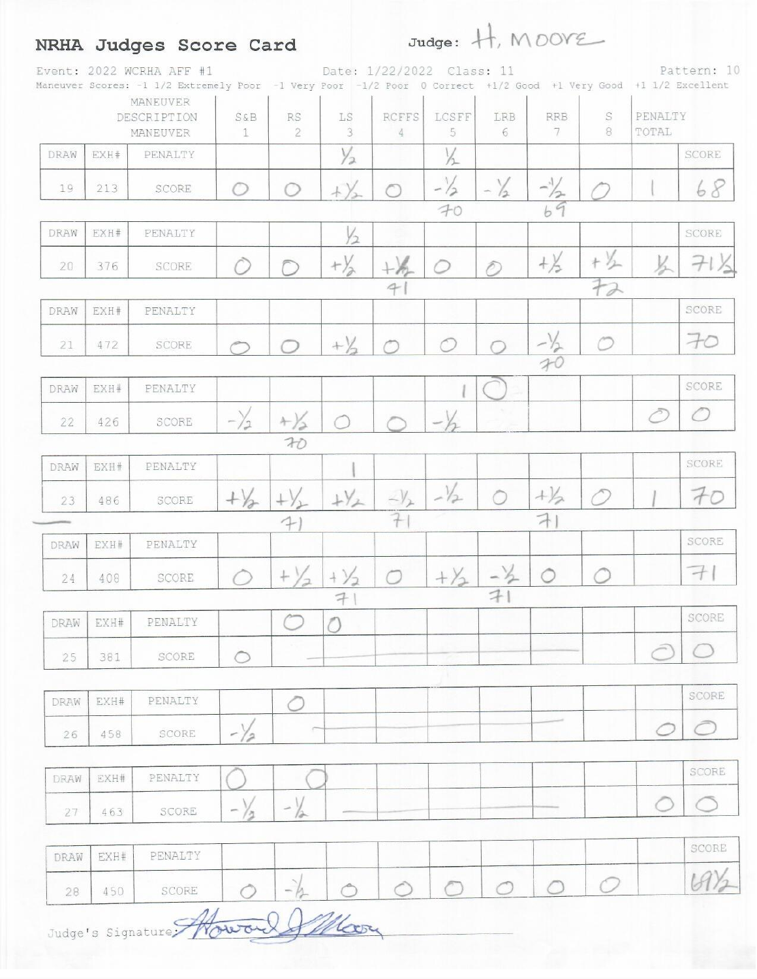# NRHA Judges Score Card Judge: H, MOOYE

|      |      | Event: 2022 WCRHA AFF #1<br>Maneuver Scores: -1 1/2 Extremely Poor -1 Very Poor -1/2 Poor 0 Correct +1/2 Good +1 Very Good +1 1/2 Excellent<br>MANEUVER |                |                             |                      | Date: 1/22/2022 Class: 11 |                 |                      |                 |        |                  | Pattern: 10    |
|------|------|---------------------------------------------------------------------------------------------------------------------------------------------------------|----------------|-----------------------------|----------------------|---------------------------|-----------------|----------------------|-----------------|--------|------------------|----------------|
|      |      | DESCRIPTION<br>MANEUVER                                                                                                                                 | $S\&B$<br>1    | <b>RS</b><br>$\overline{2}$ | LS<br>$\overline{3}$ | <b>RCFFS</b><br>4         | LCSFF<br>5      | LRB<br>6             | <b>RRB</b><br>7 | S<br>8 | PENALTY<br>TOTAL |                |
| DRAW | EXH# | PENALTY                                                                                                                                                 |                |                             | $\frac{1}{2}$        |                           | $\frac{1}{2}$   |                      |                 |        |                  | SCORE          |
| 19   | 213  | SCORE                                                                                                                                                   | O              |                             | $+\sqrt{2}$          |                           | $-\frac{1}{2}$  | $-\frac{1}{2}$       | $-\frac{1}{2}$  |        |                  | 68             |
| DRAW | EXH# | PENALTY                                                                                                                                                 |                |                             |                      |                           | 70              |                      | 69              |        |                  |                |
|      |      |                                                                                                                                                         |                |                             | $\frac{1}{2}$        |                           |                 |                      |                 |        |                  | SCORE          |
| 20   | 376  | SCORE                                                                                                                                                   |                |                             | $+\frac{1}{2}$       |                           |                 | ê.                   | $+\frac{1}{2}$  | $+$    |                  | $\mathcal{H}$  |
|      |      |                                                                                                                                                         |                |                             |                      | 4                         |                 |                      |                 | 72     |                  |                |
| DRAW | EXH# | PENALTY                                                                                                                                                 |                |                             |                      |                           |                 |                      |                 |        |                  | SCORE          |
| 21   | 472  | SCORE                                                                                                                                                   |                |                             | $+\frac{1}{2}$       |                           |                 |                      | $\frac{-1}{70}$ | ◠      |                  | $-c$           |
|      |      |                                                                                                                                                         |                |                             |                      |                           |                 |                      |                 |        |                  |                |
| DRAW | EXH# | PENALTY                                                                                                                                                 |                |                             |                      |                           |                 |                      |                 |        |                  | SCORE          |
| 22   | 426  | SCORE                                                                                                                                                   | $-\frac{1}{2}$ | $+ \frac{1}{2}$             | ◠                    |                           |                 |                      |                 |        | Ĉ                | $\circ$        |
|      |      |                                                                                                                                                         |                | 70                          |                      |                           |                 |                      |                 |        |                  |                |
| DRAW | EXH# | PENALTY                                                                                                                                                 |                |                             |                      |                           |                 |                      |                 |        |                  | SCORE          |
| 23   | 486  | SCORE                                                                                                                                                   | $+\frac{1}{6}$ |                             | $+y_2$               | $-\frac{1}{2}$            | $-\frac{1}{2}$  |                      | $+1/2$          |        |                  | 70             |
|      |      |                                                                                                                                                         |                | $\ddot{}$                   |                      | 7                         |                 |                      | $\rightarrow$   |        |                  | SCORE          |
| DRAW | EXH# | PENALTY                                                                                                                                                 |                |                             |                      |                           |                 |                      |                 |        |                  |                |
| 24   | 408  | SCORE                                                                                                                                                   |                | $+$ $\rangle$<br>$\sqrt{2}$ | $+\frac{1}{2}$       | ◠                         | $+ \frac{1}{2}$ | $-\frac{1}{2}$<br>71 | Ô               |        |                  | $\overline{a}$ |
| DRAW | EXH# | PENALTY                                                                                                                                                 |                |                             | 7                    |                           |                 |                      |                 |        |                  | SCORE          |
| 25   | 381  | SCORE                                                                                                                                                   | $\circ$        |                             |                      |                           |                 |                      |                 |        | Ĉ                |                |
| DRAW | EXH# | PENALTY                                                                                                                                                 |                |                             |                      |                           |                 |                      |                 |        |                  | SCORE          |
| 26   | 458  | SCORE                                                                                                                                                   | $-\frac{1}{2}$ |                             |                      |                           |                 |                      |                 |        |                  |                |
|      |      |                                                                                                                                                         |                |                             |                      |                           |                 |                      |                 |        |                  |                |
| DRAW | EXH# | PENALTY                                                                                                                                                 |                |                             |                      |                           |                 |                      |                 |        |                  | SCORE          |
| 27   | 463  | SCORE                                                                                                                                                   | $\sim$         |                             |                      |                           |                 |                      |                 |        |                  |                |
| DRAW | EXH# | PENALTY                                                                                                                                                 |                |                             |                      |                           |                 |                      |                 |        |                  | SCORE          |
| 28   | 450  | SCORE                                                                                                                                                   |                | $-\frac{1}{2}$              |                      | ◯                         |                 | ◠                    |                 |        |                  |                |

Judge's Signature Moura